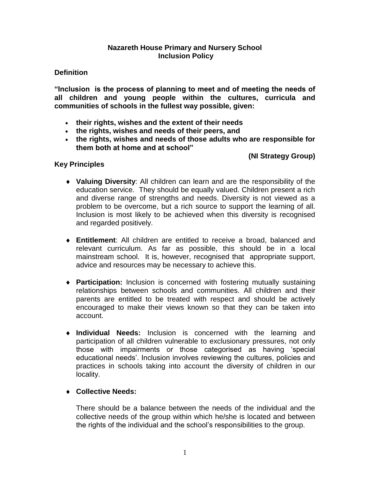#### **Nazareth House Primary and Nursery School Inclusion Policy**

### **Definition**

**"Inclusion is the process of planning to meet and of meeting the needs of all children and young people within the cultures, curricula and communities of schools in the fullest way possible, given:**

- **their rights, wishes and the extent of their needs**
- **the rights, wishes and needs of their peers, and**
- **the rights, wishes and needs of those adults who are responsible for them both at home and at school"**

## **(NI Strategy Group)**

#### **Key Principles**

- **Valuing Diversity**: All children can learn and are the responsibility of the education service. They should be equally valued. Children present a rich and diverse range of strengths and needs. Diversity is not viewed as a problem to be overcome, but a rich source to support the learning of all. Inclusion is most likely to be achieved when this diversity is recognised and regarded positively.
- **Entitlement**: All children are entitled to receive a broad, balanced and relevant curriculum. As far as possible, this should be in a local mainstream school. It is, however, recognised that appropriate support, advice and resources may be necessary to achieve this.
- **Participation:** Inclusion is concerned with fostering mutually sustaining relationships between schools and communities. All children and their parents are entitled to be treated with respect and should be actively encouraged to make their views known so that they can be taken into account.
- **Individual Needs:** Inclusion is concerned with the learning and participation of all children vulnerable to exclusionary pressures, not only those with impairments or those categorised as having 'special educational needs'. Inclusion involves reviewing the cultures, policies and practices in schools taking into account the diversity of children in our locality.

#### **Collective Needs:**

There should be a balance between the needs of the individual and the collective needs of the group within which he/she is located and between the rights of the individual and the school's responsibilities to the group.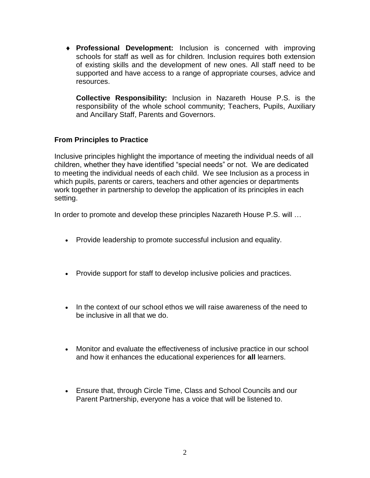**Professional Development:** Inclusion is concerned with improving schools for staff as well as for children. Inclusion requires both extension of existing skills and the development of new ones. All staff need to be supported and have access to a range of appropriate courses, advice and resources.

**Collective Responsibility:** Inclusion in Nazareth House P.S. is the responsibility of the whole school community; Teachers, Pupils, Auxiliary and Ancillary Staff, Parents and Governors.

## **From Principles to Practice**

Inclusive principles highlight the importance of meeting the individual needs of all children, whether they have identified "special needs" or not. We are dedicated to meeting the individual needs of each child. We see Inclusion as a process in which pupils, parents or carers, teachers and other agencies or departments work together in partnership to develop the application of its principles in each setting.

In order to promote and develop these principles Nazareth House P.S. will …

- Provide leadership to promote successful inclusion and equality.
- Provide support for staff to develop inclusive policies and practices.
- In the context of our school ethos we will raise awareness of the need to be inclusive in all that we do.
- Monitor and evaluate the effectiveness of inclusive practice in our school and how it enhances the educational experiences for **all** learners.
- Ensure that, through Circle Time, Class and School Councils and our Parent Partnership, everyone has a voice that will be listened to.